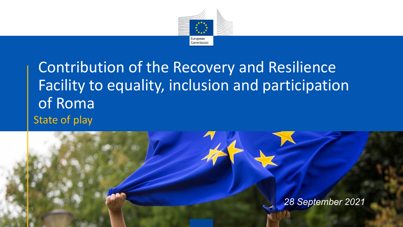

## Contribution of the Recovery and Resilience Facility to equality, inclusion and participation of Roma State of play

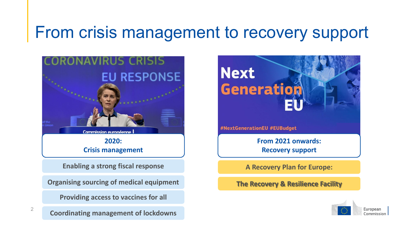## From crisis management to recovery support



**2020: Crisis management**

**Enabling a strong fiscal response**

**Organising sourcing of medical equipment**

**Providing access to vaccines for all**

**Coordinating management of lockdowns**

2



**A Recovery Plan for Europe:**

**The Recovery & Resilience Facility**

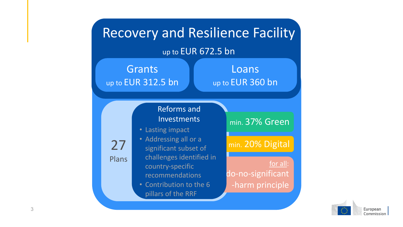

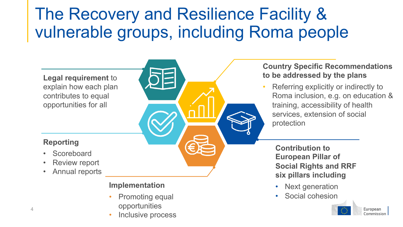## The Recovery and Resilience Facility & vulnerable groups, including Roma people

∩

**Legal requirement** to explain how each plan contributes to equal opportunities for all

#### **Reporting**

- **Scoreboard**
- Review report
- Annual reports

#### **Implementation**

- Promoting equal opportunities
- Inclusive process

#### **Country Specific Recommendations to be addressed by the plans**

• Referring explicitly or indirectly to Roma inclusion, e.g. on education & training, accessibility of health services, extension of social protection

**Contribution to European Pillar of Social Rights and RRF six pillars including**

- Next generation
- Social cohesion

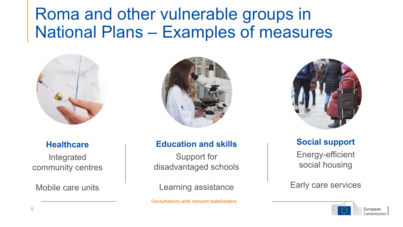## Roma and other vulnerable groups in National Plans – Examples of measures



### **Healthcare**

Integrated community centres

Mobile care units



## **Education and skills**

Support for disadvantaged schools

Learning assistance

**Consultations with relevant stakeholders**



**Social support** Energy-efficient social housing

Early care services